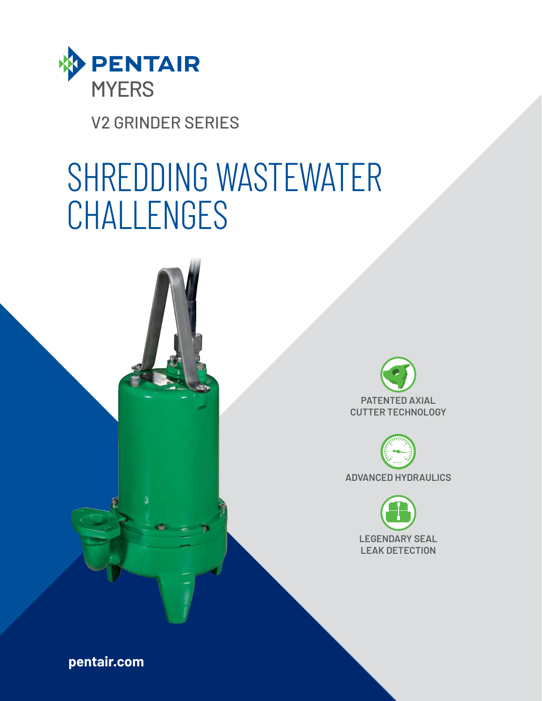

V2 GRINDER SERIES

# SHREDDING WASTEWATER **CHALLENGES**









**pentair.com**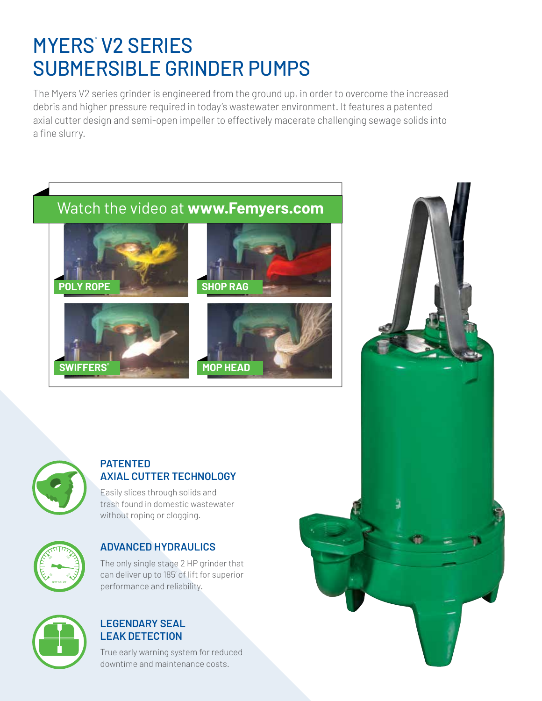# **MYERS V2 SERIES** SUBMERSIBLE GRINDER PUMPS

The Myers V2 series grinder is engineered from the ground up, in order to overcome the increased debris and higher pressure required in today's wastewater environment. It features a patented axial cutter design and semi-open impeller to effectively macerate challenging sewage solids into a fine slurry.





### **PATENTED AXIAL CUTTER TECHNOLOGY**

Easily slices through solids and trash found in domestic wastewater without roping or clogging.



### **ADVANCED HYDRAULICS**

The only single stage 2 HP grinder that can deliver up to 185' of lift for superior performance and reliability.



### **LEGENDARY SEAL LEAK DETECTION**

True early warning system for reduced downtime and maintenance costs.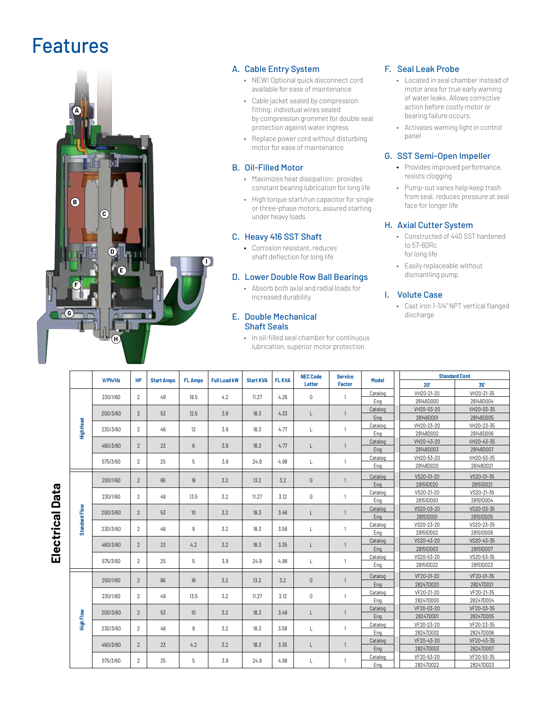## Features



#### A. Cable Entry System

- NEW! Optional quick disconnect cord available for ease of maintenance
- Cable jacket sealed by compression fitting; individual wires sealed by compression grommet for double seal protection against water ingress
- Replace power cord without disturbing motor for ease of maintenance

#### B. Oil-Filled Motor

- Maximizes heat dissipation; provides constant bearing lubrication for long life
- High torque start/run capacitor for single or three-phase motors, assured starting under heavy loads

#### C. Heavy 416 SST Shaft

• Corrosion resistant, reduces shaft deflection for long life

#### D. Lower Double Row Ball Bearings

• Absorb both axial and radial loads for increased durability

#### E. Double Mechanical Shaft Seals

• In oil-filled seal chamber for continuous lubrication, superior motor protection

#### F. Seal Leak Probe

- Located in seal chamber instead of motor area for true early warning of water leaks. Allows corrective action before costly motor or bearing failure occurs.
- Activates warning light in control panel

#### G. SST Semi-Open Impeller

- Provides improved performance, resists clogging
- Pump-out vanes help keep trash from seal, reduces pressure at seal face for longer life

#### H. Axial Cutter System

- Constructed of 440 SST hardened to 57-60Rc for long life
- Easily replaceable without dismantling pump

#### I. Volute Case

• Cast iron 1-1/4" NPT vertical flanged discharge

|                           |               | V/Ph/Hz  | <b>HP</b>      | <b>Start Amps</b> | <b>FL Amps</b>   | <b>Full Load kW</b> | <b>Start KVA</b> | <b>FL KVA</b> | <b>NEC Code</b><br>Letter | <b>Service</b><br>Factor | Model   | <b>Standard Cord</b> |            |
|---------------------------|---------------|----------|----------------|-------------------|------------------|---------------------|------------------|---------------|---------------------------|--------------------------|---------|----------------------|------------|
| <b>Data</b><br>Electrical |               |          |                |                   |                  |                     |                  |               |                           |                          |         | 20'                  | 35'        |
|                           | High Head     | 230/1/60 | $\overline{2}$ | 49                | 18.5             | 4.2                 | 11.27            | 4.26          | G                         |                          | Catalog | VH20-21-20           | VH20-21-35 |
|                           |               |          |                |                   |                  |                     |                  |               |                           |                          | Eng     | 28148D000            | 28148D004  |
|                           |               | 200/3/60 | $\overline{2}$ | 53                | 12.5             | 3.9                 | 18.3             | 4.33          | L                         |                          | Catalog | VH20-03-20           | VH20-03-35 |
|                           |               |          |                |                   |                  |                     |                  |               |                           |                          | Eng     | 28148D001            | 28148D005  |
|                           |               | 230/3/60 | $\mathbf{2}$   | 46                | 12               | 3.9                 | 18.3             | 4.77          | L                         |                          | Catalog | VH20-23-20           | VH20-23-35 |
|                           |               |          |                |                   |                  |                     |                  |               |                           |                          | Eng     | 28148D002            | 28148D006  |
|                           |               | 460/3/60 | $\overline{2}$ | 23                | $6\phantom{1}$   | 3.9                 | 18.3             | 4.77          | $\mathsf{L}$              |                          | Catalog | VH20-43-20           | VH20-43-35 |
|                           |               |          |                |                   |                  |                     |                  |               |                           |                          | Eng     | 28148D003            | 28148D007  |
|                           |               | 575/3/60 | $\overline{2}$ | 25                | 5                | 3.9                 | 24.9             | 4.98          | L                         |                          | Catalog | VH20-53-20           | VH20-53-35 |
|                           |               |          |                |                   |                  |                     |                  |               |                           |                          | Eng     | 28148D020            | 28148D021  |
|                           | Standard Flow | 200/1/60 | $\overline{2}$ | 66                | 16               | 3.2                 | 13.2             | 3.2           | G                         | $\overline{1}$           | Catalog | VS20-01-20           | VS20-01-35 |
|                           |               |          |                |                   |                  |                     |                  |               |                           |                          | Eng     | 28151D020            | 28151D021  |
|                           |               |          |                |                   |                  |                     | 11.27            |               |                           |                          | Catalog | VS20-21-20           | VS20-21-35 |
|                           |               | 230/1/60 | $\overline{2}$ | 49                | 13.5             | 3.2                 |                  | 3.12          | G                         | $\overline{1}$           | Eng     | 28151D000            | 28151D004  |
|                           |               | 200/3/60 | $\overline{2}$ | 53                | 10 <sup>10</sup> | 3.2                 | 18.3             | 3.46          | L                         | $\overline{1}$           | Catalog | VS20-03-20           | VS20-03-35 |
|                           |               |          |                |                   |                  |                     |                  |               |                           |                          | Eng     | 28151D001            | 28151D005  |
|                           |               | 230/3/60 | $\mathbf{2}$   | 46                | 9                | 3.2                 | 18.3             | 3.58          | L                         | $\mathbf{1}$             | Catalog | VS20-23-20           | VS20-23-35 |
|                           |               |          |                |                   |                  |                     |                  |               |                           |                          | Eng     | 28151D002            | 28151D006  |
|                           |               | 460/3/60 | $\overline{2}$ | 23                | 4.2              | 3.2                 | 18.3             | 3.35          | L                         | $\overline{1}$           | Catalog | VS20-43-20           | VS20-43-35 |
|                           |               |          |                |                   |                  |                     |                  |               |                           |                          | Eng     | 28151D003            | 28151D007  |
|                           |               | 575/3/60 | $\overline{2}$ | 25                | 5                | 3.9                 | 24.9             | 4.98          | L                         | $\overline{1}$           | Catalog | VS20-53-20           | VS20-53-35 |
|                           |               |          |                |                   |                  |                     |                  |               |                           |                          | Eng     | 28151D022            | 28151D023  |
|                           | High Flow     | 200/1/60 | $\overline{2}$ | 66                | 16               | 3.2                 | 13.2             | 3.2           | G                         | $\overline{1}$           | Catalog | VF20-01-20           | VF20-01-35 |
|                           |               |          |                |                   |                  |                     |                  |               |                           |                          | Eng     | 28247D020            | 28247D021  |
|                           |               | 230/1/60 | $\overline{2}$ | 49                | 13.5             | 3.2                 | 11.27            | 3.12          | G                         | $\overline{1}$           | Catalog | VF20-21-20           | VF20-21-35 |
|                           |               |          |                |                   |                  |                     |                  |               |                           |                          | Eng     | 28247D000            | 28247D004  |
|                           |               | 200/3/60 | $\overline{2}$ | 53                | 10               | 3.2                 | 18.3             |               | L                         | $\overline{1}$           | Catalog | VF20-03-20           | VF20-03-35 |
|                           |               |          |                |                   |                  |                     |                  | 3.46          |                           |                          | Eng     | 28247D001            | 28247D005  |
|                           |               | 230/3/60 | $\overline{2}$ | 46                | 9                | 3.2                 | 18.3             | 3.58          | L                         | $\mathbf{1}$             | Catalog | VF20-23-20           | VF20-23-35 |
|                           |               |          |                |                   |                  |                     |                  |               |                           |                          | Eng     | 28247D002            | 28247D006  |
|                           |               | 460/3/60 | $\overline{2}$ | 23                | 4.2              | 3.2                 | 18.3             | 3.35          | L                         | $\overline{1}$           | Catalog | VF20-43-20           | VF20-43-35 |
|                           |               |          |                |                   |                  |                     |                  |               |                           |                          | Eng     | 28247D003            | 28247D007  |
|                           |               | 575/3/60 | 2              | 25                | 5                | 3.9                 | 24.9             | 4.98          |                           |                          | Catalog | VF20-53-20           | VF20-53-35 |
|                           |               |          |                |                   |                  |                     |                  |               | L                         | $\mathbf{1}$             | Eng     | 28247D022            | 28247D023  |